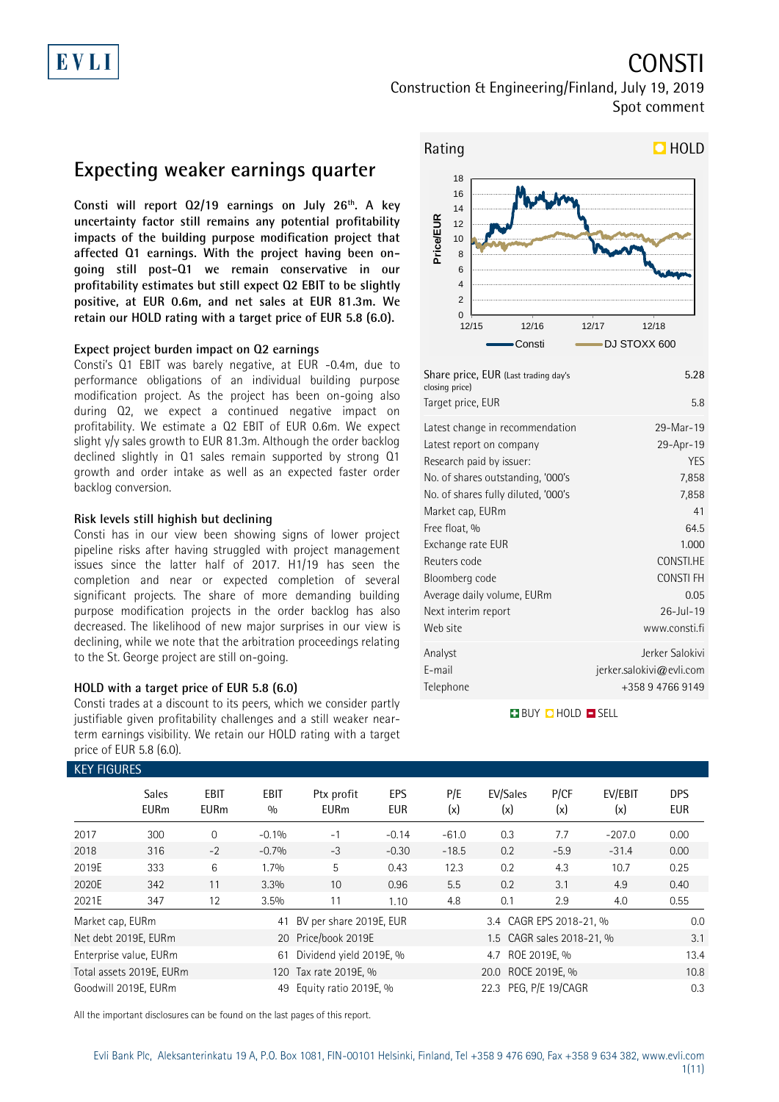# CONSTI

Construction & Engineering/Finland, July 19, 2019 Spot comment

### **Expecting weaker earnings quarter**

**Consti will report Q2/19 earnings on July 26th. A key uncertainty factor still remains any potential profitability impacts of the building purpose modification project that affected Q1 earnings. With the project having been ongoing still post-Q1 we remain conservative in our profitability estimates but still expect Q2 EBIT to be slightly positive, at EUR 0.6m, and net sales at EUR 81.3m. We retain our HOLD rating with a target price of EUR 5.8 (6.0).**

### **Expect project burden impact on Q2 earnings**

Consti's Q1 EBIT was barely negative, at EUR -0.4m, due to performance obligations of an individual building purpose modification project. As the project has been on-going also during Q2, we expect a continued negative impact on profitability. We estimate a Q2 EBIT of EUR 0.6m. We expect slight y/y sales growth to EUR 81.3m. Although the order backlog declined slightly in Q1 sales remain supported by strong Q1 growth and order intake as well as an expected faster order backlog conversion.

### **Risk levels still highish but declining**

Consti has in our view been showing signs of lower project pipeline risks after having struggled with project management issues since the latter half of 2017. H1/19 has seen the completion and near or expected completion of several significant projects. The share of more demanding building purpose modification projects in the order backlog has also decreased. The likelihood of new major surprises in our view is declining, while we note that the arbitration proceedings relating to the St. George project are still on-going.

### **HOLD with a target price of EUR 5.8 (6.0)**

Consti trades at a discount to its peers, which we consider partly justifiable given profitability challenges and a still weaker nearterm earnings visibility. We retain our HOLD rating with a target price of EUR 5.8 (6.0).



| Share price, EUR (Last trading day's<br>closing price) | 5.28                     |
|--------------------------------------------------------|--------------------------|
| Target price, EUR                                      | 5.8                      |
| Latest change in recommendation                        | 29-Mar-19                |
| Latest report on company                               | 29-Apr-19                |
| Research paid by issuer:                               | <b>YES</b>               |
| No. of shares outstanding, '000's                      | 7,858                    |
| No. of shares fully diluted, '000's                    | 7,858                    |
| Market cap, EURm                                       | 41                       |
| Free float, %                                          | 64.5                     |
| Exchange rate EUR                                      | 1.000                    |
| Reuters code                                           | CONSTI.HE                |
| Bloomberg code                                         | <b>CONSTIFH</b>          |
| Average daily volume, EURm                             | 0.05                     |
| Next interim report                                    | $26 -  u  - 19$          |
| Web site                                               | www.consti.fi            |
| Analyst                                                | Jerker Salokivi          |
| E-mail                                                 | jerker.salokivi@evli.com |
| Telephone                                              | +358947669149            |

### **BUY QHOLD SELL**

| <b>KEY FIGURES</b> |                             |                     |                    |                                             |                                                |            |                           |             |                |                          |
|--------------------|-----------------------------|---------------------|--------------------|---------------------------------------------|------------------------------------------------|------------|---------------------------|-------------|----------------|--------------------------|
|                    | <b>Sales</b><br><b>EURm</b> | EBIT<br><b>EURm</b> | <b>EBIT</b><br>0/0 | Ptx profit<br><b>EURm</b>                   | <b>EPS</b><br>EUR                              | P/E<br>(x) | EV/Sales<br>(x)           | P/CF<br>(x) | EV/EBIT<br>(x) | <b>DPS</b><br><b>EUR</b> |
| 2017               | 300                         | $\Omega$            | $-0.1%$            | $-1$                                        | $-0.14$                                        | $-61.0$    | 0.3                       | 7.7         | $-207.0$       | 0.00                     |
| 2018               | 316                         | $-2$                | $-0.7%$            | $-3$                                        | $-0.30$                                        | $-18.5$    | 0.2                       | $-5.9$      | $-31.4$        | 0.00                     |
| 2019E              | 333                         | 6                   | 1.7%               | 5                                           | 0.43                                           | 12.3       | 0.2                       | 4.3         | 10.7           | 0.25                     |
| 2020E              | 342                         | 11                  | 3.3%               | 10                                          | 0.96                                           | 5.5        | 0.2                       | 3.1         | 4.9            | 0.40                     |
| 2021E              | 347                         | 12                  | 3.5%               | 11                                          | 1.10                                           | 4.8        | 0.1                       | 2.9         | 4.0            | 0.55                     |
| Market cap, EURm   |                             |                     | 41                 | BV per share 2019E, EUR                     |                                                |            | 3.4 CAGR EPS 2018-21, %   |             |                | 0.0                      |
|                    | Net debt 2019E, EURm        |                     |                    | 20 Price/book 2019E                         |                                                |            | 1.5 CAGR sales 2018-21, % |             |                | 3.1                      |
|                    | Enterprise value, EURm      |                     | 61                 | Dividend yield 2019E, %<br>4.7 ROE 2019E, % |                                                |            |                           |             |                | 13.4                     |
|                    | Total assets 2019E, EURm    |                     |                    | 20.0 ROCE 2019E, %<br>120 Tax rate 2019E, % |                                                |            |                           |             |                | 10.8                     |
|                    | Goodwill 2019E, EURm        |                     | 49                 |                                             | 22.3 PEG, P/E 19/CAGR<br>Equity ratio 2019E, % |            |                           |             |                |                          |

All the important disclosures can be found on the last pages of this report.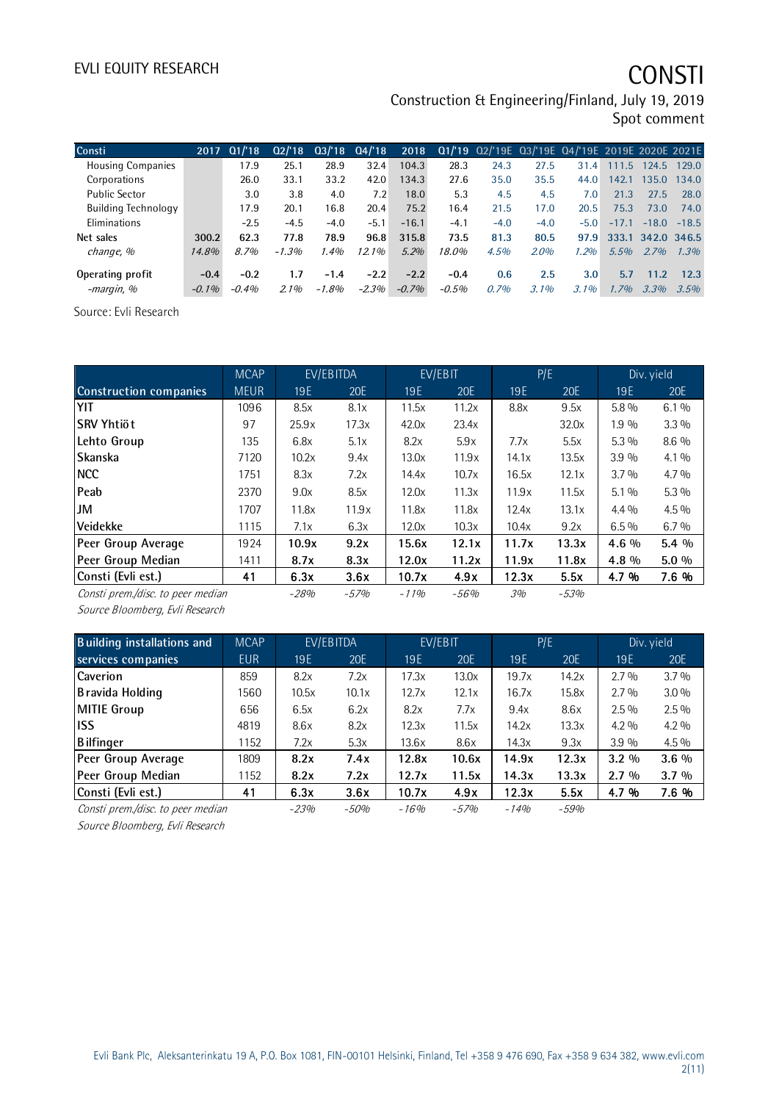# EVLI EQUITY RESEARCH **CONSTI**

Construction & Engineering/Finland, July 19, 2019 Spot comment

|        | Q1/18    | Q2/18            |        |          | 2018            |          |        |         |         |         |       |                                                                                  |
|--------|----------|------------------|--------|----------|-----------------|----------|--------|---------|---------|---------|-------|----------------------------------------------------------------------------------|
|        | 17.9     | 25.1             | 28.9   | 32.4     | 104.3           | 28.3     | 24.3   | 27.5    | 31.4    | 111.5   | 124.5 | 129.0                                                                            |
|        | 26.0     | 33.1             | 33.2   | 42.0     | 134.3           | 27.6     | 35.0   | 35.5    | 44.0    | 142.1   | 135.0 | 134.0                                                                            |
|        | 3.0      | 3.8              | 4.0    | 7.2      | 18.0            | 5.3      | 4.5    | 4.5     | 7.0     | 21.3    | 27.5  | 28.0                                                                             |
|        | 17.9     | 20.1             | 16.8   | 20.4     | 75.2            | 16.4     | 21.5   | 17.0    | 20.5    | 75.3    | 73.0  | 74.0                                                                             |
|        | $-2.5$   | $-4.5$           | $-4.0$ | $-5.1$   | $-16.1$         | $-4.1$   | $-4.0$ | $-4.0$  | $-5.0$  | $-17.1$ |       | $-18.5$                                                                          |
| 300.2  | 62.3     | 77.8             | 78.9   | 96.8     | 315.8           | 73.5     | 81.3   | 80.5    |         |         |       |                                                                                  |
| 14.8%  | 8.7%     | $-1.3%$          | 1.4%   | $12.1\%$ | 5.2%            | 18.0%    | 4.5%   | 2.0%    | 1.2%    | 5.5%    | 2.7%  | 1.3%                                                                             |
| $-0.4$ | $-0.2$   | 1.7              | $-1.4$ | $-2.2$   | $-2.2$          | $-0.4$   | 0.6    | 2.5     | 3.0     | 5.7     | 11.2  | 12.3                                                                             |
|        | $-0.4\%$ | $2.1\%$          | -1.8%  | $-2.3%$  | $-0.7\%$        | $-0.5\%$ | 0.7%   | $3.1\%$ | $3.1\%$ | $1.7\%$ | 3.3%  | 3.5%                                                                             |
|        |          | 2017<br>$-0.1\%$ |        |          | $03/18$ $04/18$ |          |        |         |         |         | 97.9  | 01/'19 02/'19E 03/'19E 04/'19E 2019E 2020E 2021E<br>$-18.0$<br>333.1 342.0 346.5 |

Source: Evli Research

|                                   | <b>MCAP</b> |        | EV/EBITDA |        | EV/EBIT |       | P/E    | Div. yield |         |
|-----------------------------------|-------------|--------|-----------|--------|---------|-------|--------|------------|---------|
| <b>Construction companies</b>     | <b>MEUR</b> | 19E    | 20E       | 19E    | 20E     | 19E   | 20E    | 19E        | 20E     |
| YIT                               | 1096        | 8.5x   | 8.1x      | 11.5x  | 11.2x   | 8.8x  | 9.5x   | 5.8 %      | 6.1%    |
| ISRV Yhtiöt                       | 97          | 25.9x  | 17.3x     | 42.0x  | 23.4x   |       | 32.0x  | 1.9 %      | $3.3\%$ |
| Lehto Group                       | 135         | 6.8x   | 5.1x      | 8.2x   | 5.9x    | 7.7x  | 5.5x   | 5.3 %      | $8.6\%$ |
| Skanska                           | 7120        | 10.2x  | 9.4x      | 13.0x  | 11.9x   | 14.1x | 13.5x  | 3.9%       | $4.1\%$ |
| <b>NCC</b>                        | 1751        | 8.3x   | 7.2x      | 14.4x  | 10.7x   | 16.5x | 12.1x  | 3.7%       | $4.7\%$ |
| Peab                              | 2370        | 9.0x   | 8.5x      | 12.0x  | 11.3x   | 11.9x | 11.5x  | $5.1\%$    | $5.3\%$ |
| IJМ                               | 1707        | 11.8x  | 11.9x     | 11.8x  | 11.8x   | 12.4x | 13.1x  | $4.4\%$    | $4.5\%$ |
| <b>Veidekke</b>                   | 1115        | 7.1x   | 6.3x      | 12.0x  | 10.3x   | 10.4x | 9.2x   | $6.5\%$    | $6.7\%$ |
| Peer Group Average                | 1924        | 10.9x  | 9.2x      | 15.6x  | 12.1x   | 11.7x | 13.3x  | $4.6\%$    | $5.4\%$ |
| Peer Group Median                 | 1411        | 8.7x   | 8.3x      | 12.0x  | 11.2x   | 11.9x | 11.8x  | 4.8 %      | $5.0\%$ |
| Consti (Evli est.)                | 41          | 6.3x   | 3.6x      | 10.7x  | 4.9x    | 12.3x | 5.5x   | 4.7 %      | 7.6 %   |
| Consti prem./disc. to peer median |             | $-28%$ | $-57%$    | $-11%$ | $-56%$  | 3%    | $-53%$ |            |         |

Source Bloomberg, Evli Research

| <b>Building installations and</b> | <b>MCAP</b> |        | EV/EBITDA |                 | EV/EBIT | P/E    |         | Div. yield |         |
|-----------------------------------|-------------|--------|-----------|-----------------|---------|--------|---------|------------|---------|
| services companies                | <b>EUR</b>  | 19E    | 20E       | 19 <sub>E</sub> | 20E     | 19E    | 20E     | 19E        | 20E     |
| <b>Caverion</b>                   | 859         | 8.2x   | 7.2x      | 17.3x           | 13.0x   | 19.7x  | 14.2x   | $2.7\%$    | $3.7\%$ |
| B ravida Holding                  | 1560        | 10.5x  | 10.1x     | 12.7x           | 12.1x   | 16.7x  | 15.8x   | $2.7\%$    | $3.0\%$ |
| MITIE Group                       | 656         | 6.5x   | 6.2x      | 8.2x            | 7.7x    | 9.4x   | 8.6x    | $2.5\%$    | $2.5\%$ |
| <b>IISS</b>                       | 4819        | 8.6x   | 8.2x      | 12.3x           | 11.5x   | 14.2x  | 13.3x   | $4.2\%$    | $4.2\%$ |
| <b>Bilfinger</b>                  | 1152        | 7.2x   | 5.3x      | 13.6x           | 8.6x    | 14.3x  | 9.3x    | 3.9%       | $4.5\%$ |
| Peer Group Average                | 1809        | 8.2x   | 7.4x      | 12.8x           | 10.6x   | 14.9x  | 12.3x   | $3.2\%$    | $3.6\%$ |
| Peer Group Median                 | 1152        | 8.2x   | 7.2x      | 12.7x           | 11.5x   | 14.3x  | 13.3x   | $2.7\%$    | $3.7\%$ |
| Consti (Evli est.)                | 41          | 6.3x   | 3.6x      | 10.7x           | 4.9x    | 12.3x  | 5.5x    | 4.7 %      | 7.6 %   |
| Consti prem./disc. to peer median |             | $-23%$ | $-50%$    | $-16%$          | $-57%$  | $-14%$ | $-5.9%$ |            |         |

Source Bloomberg, Evli Research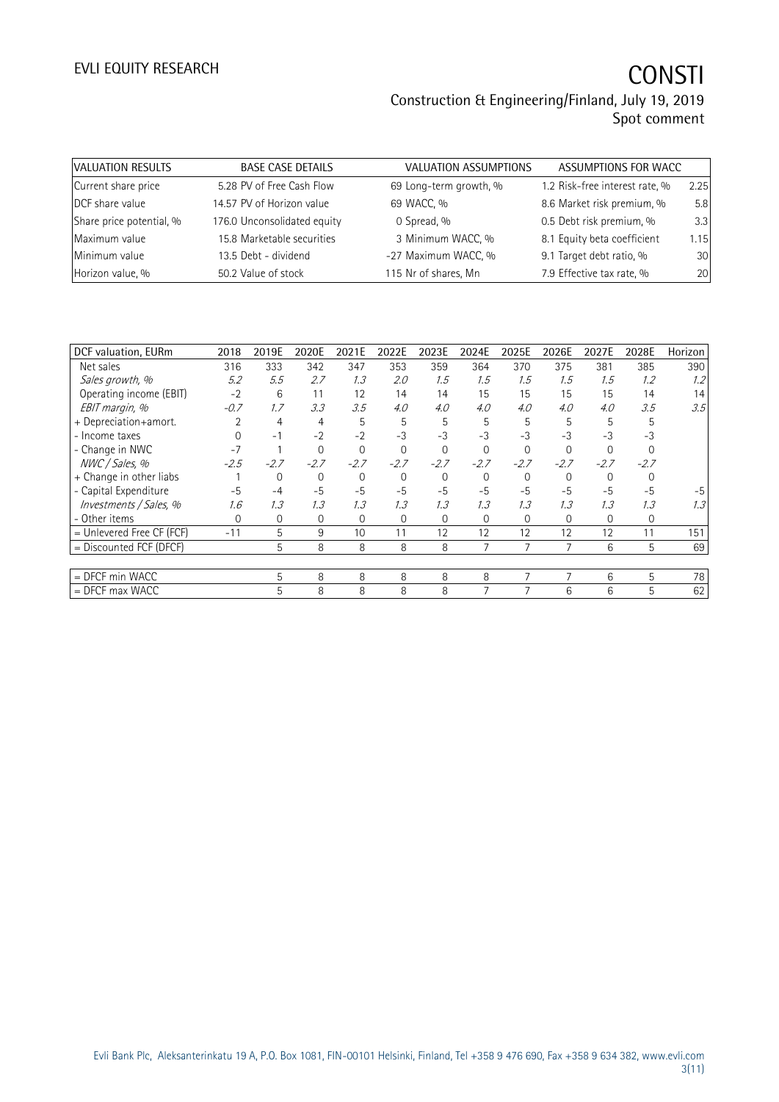| VALUATION RESULTS        | <b>BASE CASE DETAILS</b>    | <b>VALUATION ASSUMPTIONS</b> | ASSUMPTIONS FOR WACC           |      |
|--------------------------|-----------------------------|------------------------------|--------------------------------|------|
| Current share price      | 5.28 PV of Free Cash Flow   | 69 Long-term growth, %       | 1.2 Risk-free interest rate, % | 2.25 |
| DCF share value          | 14.57 PV of Horizon value   | 69 WACC, %                   | 8.6 Market risk premium, %     | 5.8  |
| Share price potential, % | 176.0 Unconsolidated equity | 0 Spread, %                  | 0.5 Debt risk premium, %       | 3.3  |
| Maximum value            | 15.8 Marketable securities  | 3 Minimum WACC, %            | 8.1 Equity beta coefficient    | 1.15 |
| Minimum value            | 13.5 Debt - dividend        | -27 Maximum WACC, %          | 9.1 Target debt ratio, %       | 30   |
| Horizon value, %         | 50.2 Value of stock         | 115 Nr of shares, Mn         | 7.9 Effective tax rate, %      | 20   |

| DCF valuation, EURm         | 2018   | 2019E  | 2020E       | 2021E  | 2022E          | 2023E       | 2024E        | 2025E    | 2026E       | 2027E    | 2028E  | Horizon |
|-----------------------------|--------|--------|-------------|--------|----------------|-------------|--------------|----------|-------------|----------|--------|---------|
| Net sales                   | 316    | 333    | 342         | 347    | 353            | 359         | 364          | 370      | 375         | 381      | 385    | 390     |
| Sales growth, %             | 5.2    | 5.5    | 2.7         | 1.3    | 2.0            | 1.5         | 1.5          | 1.5      | 1.5         | 1.5      | 1.2    | 1.2     |
| Operating income (EBIT)     | $-2$   | 6      | 11          | 12     | 14             | 14          | 15           | 15       | 15          | 15       | 14     | 14      |
| EBIT margin, %              | $-0.7$ | 1.7    | 3.3         | 3.5    | 4.0            | 4.0         | 4.0          | 4.0      | 4.0         | 4.0      | 3.5    | 3.5     |
| + Depreciation+amort.       |        | 4      | 4           | 5      | 5              | 5           | 5            | 5        | 5           | 5        | 5      |         |
| - Income taxes              |        | $-1$   | $-2$        | $-2$   | $-3$           | $-3$        | $-3$         | $-3$     | $-3$        | $-3$     | $-3$   |         |
| - Change in NWC             | $-7$   |        | $\Omega$    | 0      | $\Omega$       | $\Omega$    | $\mathbf 0$  | 0        | $\Omega$    | $\Omega$ |        |         |
| NWC / Sales, %              | $-2.5$ | $-2.7$ | $-2.7$      | $-2.7$ | $-2.7$         | $-2.7$      | $-2.7$       | $-2.7$   | $-2.7$      | $-2.7$   | $-2.7$ |         |
| + Change in other liabs     |        | 0      | $\Omega$    | 0      | $\overline{0}$ | $\Omega$    | $\mathbf{0}$ | $\Omega$ | $\mathbf 0$ | $\Omega$ |        |         |
| - Capital Expenditure       | $-5$   | $-4$   | $-5$        | $-5$   | $-5$           | $-5$        | $-5$         | $-5$     | $-5$        | $-5$     | $-5$   | $-5$    |
| Investments / Sales, %      | 1.6    | 1.3    | 1.3         | 1.3    | 1.3            | 1.3         | 1.3          | 1.3      | 1.3         | 1.3      | 1.3    | 1.3     |
| - Other items               | 0      | 0      | $\mathbf 0$ | 0      | $\overline{0}$ | $\mathbf 0$ | $\mathbf{0}$ | 0        | $\mathbf 0$ | 0        | 0      |         |
| $=$ Unlevered Free CF (FCF) | $-11$  | 5      | 9           | 10     | 11             | 12          | 12           | 12       | 12          | 12       | 11     | 151     |
| $=$ Discounted FCF (DFCF)   |        | 5      | 8           | 8      | 8              | 8           | 7            | 7        |             | 6        | 5      | 69      |
|                             |        |        |             |        |                |             |              |          |             |          |        |         |
| = DFCF min WACC             |        | 5      | 8           | 8      | 8              | 8           | 8            | 7        | 7           | 6        | 5      | 78      |
| $=$ DFCF max WACC           |        | 5      | 8           | 8      | 8              | 8           |              |          | 6           | 6        | 5      | 62      |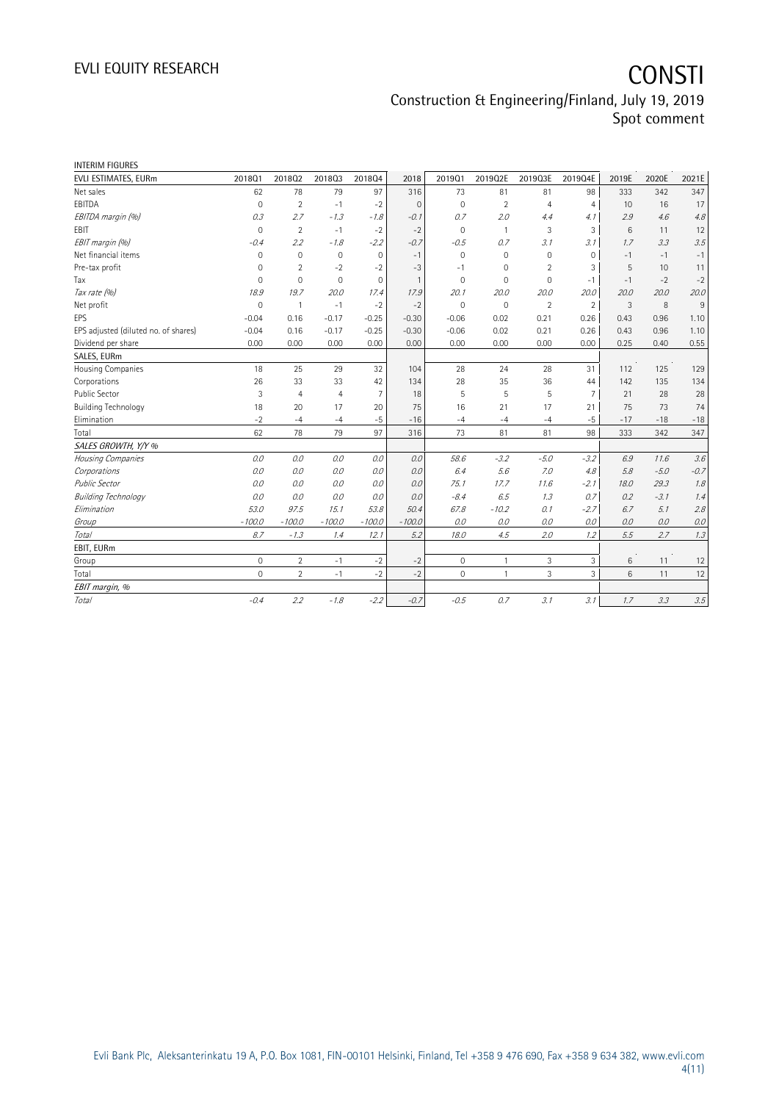| <b>INTERIM FIGURES</b>               |                     |                |                |                |                |              |                |                |                |                 |        |        |
|--------------------------------------|---------------------|----------------|----------------|----------------|----------------|--------------|----------------|----------------|----------------|-----------------|--------|--------|
| EVLI ESTIMATES, EURm                 | 201801              | 201802         | 201803         | 201804         | 2018           | 201901       | 2019Q2E        | 2019Q3E        | 2019Q4E        | 2019E           | 2020E  | 2021E  |
| Net sales                            | 62                  | 78             | 79             | 97             | 316            | 73           | 81             | 81             | 98             | 333             | 342    | 347    |
| EBITDA                               | $\Omega$            | $\overline{2}$ | $-1$           | $-2$           | $\Omega$       | $\Omega$     | $\overline{2}$ | $\overline{4}$ | $\overline{4}$ | 10 <sup>1</sup> | 16     | 17     |
| EBITDA margin (%)                    | 0.3                 | 2.7            | $-1.3$         | $-1.8$         | $-0.1$         | 0.7          | 2.0            | 4.4            | 4.1            | 2.9             | 4.6    | 4.8    |
| EBIT                                 | $\mathbf 0$         | $\overline{2}$ | $-1$           | $-2$           | $-2$           | $\mathbf{0}$ | $\mathbf{1}$   | 3              | 3              | 6               | 11     | 12     |
| EBIT margin (%)                      | $-0.4$              | 2.2            | $-1.8$         | $-2.2$         | $-0.7$         | $-0.5$       | 0.7            | 3.1            | 3.1            | 1.7             | 3.3    | 3.5    |
| Net financial items                  | $\mathbf 0$         | $\mathbf 0$    | $\mathbf 0$    | $\mathbf 0$    | $-1$           | $\mathbf 0$  | $\mathbf 0$    | $\mathbf 0$    | $\mathbf 0$    | $-1$            | $-1$   | $-1$   |
| Pre-tax profit                       | 0                   | $\overline{2}$ | $-2$           | $-2$           | $-3$           | $-1$         | 0              | $\overline{2}$ | 3              | 5               | 10     | 11     |
| Tax                                  | $\Omega$            | $\mathbf 0$    | $\mathbf 0$    | $\mathbf 0$    | $\overline{1}$ | $\Omega$     | $\mathbf 0$    | $\mathbf 0$    | $-1$           | $-1$            | $-2$   | $-2$   |
| Tax rate (%)                         | 18.9                | 19.7           | 20.0           | 17.4           | 17.9           | 20.1         | 20.0           | 20.0           | 20.0           | 20.0            | 20.0   | 20.0   |
| Net profit                           | $\mathbf 0$         | $\mathbf{1}$   | $-1$           | $-2$           | $-2$           | $\mathbf 0$  | $\mathbf 0$    | $\overline{2}$ | $\overline{2}$ | 3               | 8      | 9      |
| EPS                                  | $-0.04$             | 0.16           | $-0.17$        | $-0.25$        | $-0.30$        | $-0.06$      | 0.02           | 0.21           | 0.26           | 0.43            | 0.96   | 1.10   |
| EPS adjusted (diluted no. of shares) | $-0.04$             | 0.16           | $-0.17$        | $-0.25$        | $-0.30$        | $-0.06$      | 0.02           | 0.21           | 0.26           | 0.43            | 0.96   | 1.10   |
| Dividend per share                   | 0.00                | 0.00           | 0.00           | 0.00           | 0.00           | 0.00         | 0.00           | 0.00           | 0.00           | 0.25            | 0.40   | 0.55   |
| SALES, EURm                          |                     |                |                |                |                |              |                |                |                |                 |        |        |
| Housing Companies                    | 18                  | 25             | 29             | 32             | 104            | 28           | 24             | 28             | 31             | 112             | 125    | 129    |
| Corporations                         | 26                  | 33             | 33             | 42             | 134            | 28           | 35             | 36             | 44             | 142             | 135    | 134    |
| <b>Public Sector</b>                 | 3                   | $\overline{4}$ | $\overline{4}$ | $\overline{7}$ | 18             | 5            | 5              | 5              | $\overline{7}$ | 21              | 28     | 28     |
| <b>Building Technology</b>           | 18                  | 20             | 17             | 20             | 75             | 16           | 21             | 17             | 21             | 75              | 73     | 74     |
| Elimination                          | $-2$                | $-4$           | $-4$           | $-5$           | $-16$          | $-4$         | $-4$           | $-4$           | $-5$           | $-17$           | $-18$  | $-18$  |
| Total                                | 62                  | 78             | 79             | 97             | 316            | 73           | 81             | 81             | 98             | 333             | 342    | 347    |
| SALES GROWTH, Y/Y %                  |                     |                |                |                |                |              |                |                |                |                 |        |        |
| Housing Companies                    | 0.0                 | 0.0            | 0.0            | 0.0            | 0.0            | 58.6         | $-3.2$         | $-5.0$         | $-3.2$         | 6.9             | 11.6   | 3.6    |
| Corporations                         | 0.0                 | 0.0            | 0.0            | 0.0            | 0.0            | 6.4          | 5.6            | 7.0            | 4.8            | 5.8             | $-5.0$ | $-0.7$ |
| <b>Public Sector</b>                 | 0.0                 | 0.0            | 0.0            | 0.0            | 0.0            | 75.1         | 17.7           | 11.6           | $-2.1$         | 18.0            | 29.3   | 1.8    |
| <b>Building Technology</b>           | 0.0                 | 0.0            | 0.0            | 0.0            | 0.0            | $-8.4$       | 6.5            | 1.3            | 0.7            | 0.2             | $-3.1$ | 1.4    |
| Elimination                          | 53.0                | 97.5           | 15.1           | 53.8           | 50.4           | 67.8         | $-10.2$        | 0.1            | $-2.7$         | 6.7             | 5.1    | 2.8    |
| Group                                | $-100.0$            | $-100.0$       | $-100.0$       | $-100.0$       | $-100.0$       | 0.0          | 0.0            | 0.0            | 0.0            | 0.0             | 0.0    | 0.0    |
| Total                                | 8.7                 | $-1.3$         | 1.4            | 12.1           | 5.2            | 18.0         | 4.5            | 2.0            | 1.2            | 5.5             | 2.7    | 1.3    |
| EBIT, EURm                           |                     |                |                |                |                |              |                |                |                |                 |        |        |
| Group                                | $\mathsf{O}\xspace$ | $\overline{2}$ | $-1$           | $-2$           | $-2$           | $\mathbf 0$  | $\mathbf{1}$   | 3              | 3              | 6               | 11     | 12     |
| Total                                | $\Omega$            | $\overline{2}$ | $-1$           | $-2$           | $-2$           | $\mathbf{0}$ | $\mathbf{1}$   | 3              | $\overline{3}$ | 6               | 11     | 12     |
| EBIT margin, %                       |                     |                |                |                |                |              |                |                |                |                 |        |        |
| <b>Total</b>                         | $-0.4$              | 2.2            | $-1.8$         | $-2.2$         | $-0.7$         | $-0.5$       | 0.7            | 3.1            | 3.1            | 1.7             | 3.3    | 3.5    |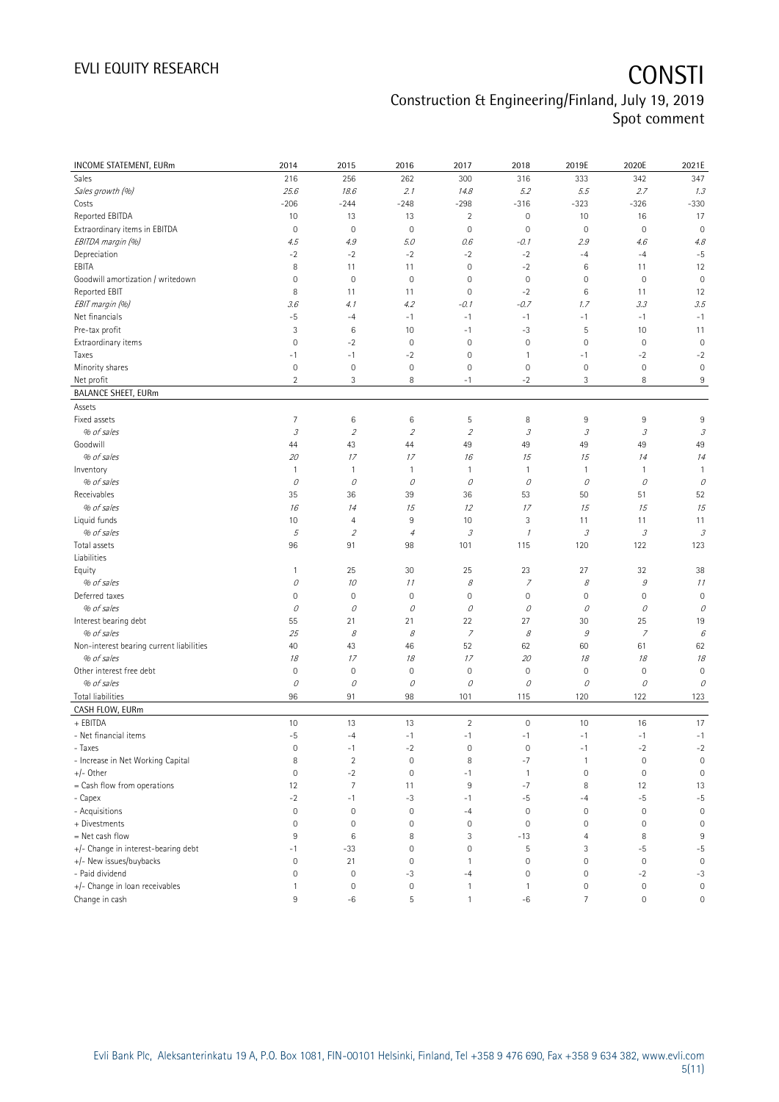| INCOME STATEMENT, EURm                   | 2014                | 2015                | 2016                | 2017                                                                                                                                                                                                                                                                                                                                                                                                                                                      | 2018           | 2019E               | 2020E                                                                                                                                                                                                                                                                                                                                                                                                                                                     | 2021E                       |
|------------------------------------------|---------------------|---------------------|---------------------|-----------------------------------------------------------------------------------------------------------------------------------------------------------------------------------------------------------------------------------------------------------------------------------------------------------------------------------------------------------------------------------------------------------------------------------------------------------|----------------|---------------------|-----------------------------------------------------------------------------------------------------------------------------------------------------------------------------------------------------------------------------------------------------------------------------------------------------------------------------------------------------------------------------------------------------------------------------------------------------------|-----------------------------|
| Sales                                    | 216                 | 256                 | 262                 | 300                                                                                                                                                                                                                                                                                                                                                                                                                                                       | 316            | 333                 | 342                                                                                                                                                                                                                                                                                                                                                                                                                                                       | 347                         |
| Sales growth (%)                         | 25.6                | 18.6                | 2.1                 | 14.8                                                                                                                                                                                                                                                                                                                                                                                                                                                      | 5.2            | 5.5                 | 2.7                                                                                                                                                                                                                                                                                                                                                                                                                                                       | 1.3                         |
| Costs                                    | $-206$              | $-244$              | $-248$              | $-298$                                                                                                                                                                                                                                                                                                                                                                                                                                                    | $-316$         | $-323$              | $-326$                                                                                                                                                                                                                                                                                                                                                                                                                                                    | $-330$                      |
| Reported EBITDA                          | 10                  | 13                  | 13                  | 2                                                                                                                                                                                                                                                                                                                                                                                                                                                         | $\mathbb O$    | 10                  | 16                                                                                                                                                                                                                                                                                                                                                                                                                                                        | 17                          |
| Extraordinary items in EBITDA            | $\mathbf 0$         | $\mathbf 0$         | $\mathbf 0$         | $\mathbf 0$                                                                                                                                                                                                                                                                                                                                                                                                                                               | $\mathbf 0$    | $\mathbf 0$         | $\mathbf 0$                                                                                                                                                                                                                                                                                                                                                                                                                                               | $\mathbf 0$                 |
| EBITDA margin (%)                        | 4.5                 | 4.9                 | 5.0                 | 0.6                                                                                                                                                                                                                                                                                                                                                                                                                                                       | $-0.1$         | 2.9                 | 4.6                                                                                                                                                                                                                                                                                                                                                                                                                                                       | 4.8                         |
| Depreciation                             | $-2$                | $-2$                | $-2$                | $-2$                                                                                                                                                                                                                                                                                                                                                                                                                                                      | $-2$           | $-4$                | $-4$                                                                                                                                                                                                                                                                                                                                                                                                                                                      | $-5$                        |
| EBITA                                    | 8                   | 11                  | 11                  | $\mathbf 0$                                                                                                                                                                                                                                                                                                                                                                                                                                               | $-2$           | $6\,$               | 11                                                                                                                                                                                                                                                                                                                                                                                                                                                        | 12                          |
| Goodwill amortization / writedown        | 0                   | $\mathbf 0$         | $\mathbf 0$         | $\mathbf 0$                                                                                                                                                                                                                                                                                                                                                                                                                                               | $\mathbf 0$    | 0                   | $\mathbf 0$                                                                                                                                                                                                                                                                                                                                                                                                                                               | $\mathbf 0$                 |
| Reported EBIT                            | 8                   | 11                  | 11                  | $\mathbf 0$                                                                                                                                                                                                                                                                                                                                                                                                                                               | $-2$           | $6\,$               | 11                                                                                                                                                                                                                                                                                                                                                                                                                                                        | 12                          |
| EBIT margin (%)                          | 3.6                 | 4.1                 | 4.2                 | -0.1                                                                                                                                                                                                                                                                                                                                                                                                                                                      | $-0.7$         | 1.7                 | 3.3                                                                                                                                                                                                                                                                                                                                                                                                                                                       | 3.5                         |
| Net financials                           | $-5$                | $-4$                | $-1$                | $-1$                                                                                                                                                                                                                                                                                                                                                                                                                                                      | $-1$           | $-1$                | $-1$                                                                                                                                                                                                                                                                                                                                                                                                                                                      | $-1$                        |
| Pre-tax profit                           | 3                   | 6                   | 10                  | $-1$                                                                                                                                                                                                                                                                                                                                                                                                                                                      | -3             | 5                   | 10                                                                                                                                                                                                                                                                                                                                                                                                                                                        | 11                          |
| Extraordinary items                      | $\mathbf 0$         | $-2$                | $\mathbf 0$         | $\overline{0}$                                                                                                                                                                                                                                                                                                                                                                                                                                            | $\mathbf 0$    | $\mathbb O$         | $\mathbf 0$                                                                                                                                                                                                                                                                                                                                                                                                                                               | $\mathbf 0$                 |
| Taxes                                    | $-1$                | $-1$                | $-2$                | $\mathbf 0$                                                                                                                                                                                                                                                                                                                                                                                                                                               | $\mathbf{1}$   | $-1$                | $-2$                                                                                                                                                                                                                                                                                                                                                                                                                                                      | $-2$                        |
| Minority shares                          | $\mathbf 0$         | $\mathsf{O}\xspace$ | $\mathsf{O}\xspace$ | $\mathbf 0$                                                                                                                                                                                                                                                                                                                                                                                                                                               | $\mathbf 0$    | $\mathsf{O}\xspace$ | $\mathsf{O}\xspace$                                                                                                                                                                                                                                                                                                                                                                                                                                       | $\mathbf 0$                 |
| Net profit                               | $\overline{2}$      | 3                   | 8                   | $-1$                                                                                                                                                                                                                                                                                                                                                                                                                                                      | $-2$           | 3                   | 8                                                                                                                                                                                                                                                                                                                                                                                                                                                         | 9                           |
| <b>BALANCE SHEET, EURm</b>               |                     |                     |                     |                                                                                                                                                                                                                                                                                                                                                                                                                                                           |                |                     |                                                                                                                                                                                                                                                                                                                                                                                                                                                           |                             |
| Assets                                   |                     |                     |                     |                                                                                                                                                                                                                                                                                                                                                                                                                                                           |                |                     |                                                                                                                                                                                                                                                                                                                                                                                                                                                           |                             |
| Fixed assets                             | 7                   | 6                   | 6                   | 5                                                                                                                                                                                                                                                                                                                                                                                                                                                         | 8              | $9\,$               | 9                                                                                                                                                                                                                                                                                                                                                                                                                                                         | 9                           |
| % of sales                               | $\mathcal{I}% _{G}$ | $\sqrt{2}$          | $\mathcal{D}$       | $\mathfrak z$                                                                                                                                                                                                                                                                                                                                                                                                                                             | $\mathcal{I}$  | $\mathcal{I}% _{G}$ | $\mathcal{I}% _{G}=\mathcal{I}_{G}=\mathcal{I}_{G}=\mathcal{I}_{G}=\mathcal{I}_{G}=\mathcal{I}_{G}=\mathcal{I}_{G}=\mathcal{I}_{G}=\mathcal{I}_{G}=\mathcal{I}_{G}=\mathcal{I}_{G}=\mathcal{I}_{G}=\mathcal{I}_{G}=\mathcal{I}_{G}=\mathcal{I}_{G}=\mathcal{I}_{G}=\mathcal{I}_{G}=\mathcal{I}_{G}=\mathcal{I}_{G}=\mathcal{I}_{G}=\mathcal{I}_{G}=\mathcal{I}_{G}=\mathcal{I}_{G}=\mathcal{I}_{G}=\mathcal{I}_{G}=\mathcal{I}_{G}=\mathcal{I}_{G}=\math$ | $\mathcal{S}_{\mathcal{S}}$ |
| Goodwill                                 | 44                  | 43                  | 44                  | 49                                                                                                                                                                                                                                                                                                                                                                                                                                                        | 49             | 49                  | 49                                                                                                                                                                                                                                                                                                                                                                                                                                                        | 49                          |
| % of sales                               | 20                  | 17                  | 17                  | 16                                                                                                                                                                                                                                                                                                                                                                                                                                                        | 15             | 15                  | 14                                                                                                                                                                                                                                                                                                                                                                                                                                                        | 14                          |
| Inventory                                | $\mathbf{1}$        | $\mathbf{1}$        | $\overline{1}$      | 1                                                                                                                                                                                                                                                                                                                                                                                                                                                         | $\mathbf{1}$   | $\overline{1}$      | 1                                                                                                                                                                                                                                                                                                                                                                                                                                                         | $\mathbf{1}$                |
| % of sales                               | 0                   | 0                   | 0                   | 0                                                                                                                                                                                                                                                                                                                                                                                                                                                         | 0              | 0                   | 0                                                                                                                                                                                                                                                                                                                                                                                                                                                         | 0                           |
| Receivables                              | 35                  | 36                  | 39                  | 36                                                                                                                                                                                                                                                                                                                                                                                                                                                        | 53             | 50                  | 51                                                                                                                                                                                                                                                                                                                                                                                                                                                        | 52                          |
| % of sales                               | 16                  | 14                  | 15                  | 12                                                                                                                                                                                                                                                                                                                                                                                                                                                        | 17             | 15                  | 15                                                                                                                                                                                                                                                                                                                                                                                                                                                        | 15                          |
| Liquid funds                             | 10                  | $\overline{4}$      | 9                   | 10                                                                                                                                                                                                                                                                                                                                                                                                                                                        | 3              | 11                  | 11                                                                                                                                                                                                                                                                                                                                                                                                                                                        | 11                          |
| % of sales                               | 5                   | $\overline{2}$      | $\overline{4}$      | $\mathcal{I}% _{G}=\mathcal{I}_{G}=\mathcal{I}_{G}=\mathcal{I}_{G}=\mathcal{I}_{G}=\mathcal{I}_{G}=\mathcal{I}_{G}=\mathcal{I}_{G}=\mathcal{I}_{G}=\mathcal{I}_{G}=\mathcal{I}_{G}=\mathcal{I}_{G}=\mathcal{I}_{G}=\mathcal{I}_{G}=\mathcal{I}_{G}=\mathcal{I}_{G}=\mathcal{I}_{G}=\mathcal{I}_{G}=\mathcal{I}_{G}=\mathcal{I}_{G}=\mathcal{I}_{G}=\mathcal{I}_{G}=\mathcal{I}_{G}=\mathcal{I}_{G}=\mathcal{I}_{G}=\mathcal{I}_{G}=\mathcal{I}_{G}=\math$ | $\mathcal I$   | 3                   | $\mathcal{I}% _{G}=\mathcal{I}_{G}=\mathcal{I}_{G}=\mathcal{I}_{G}=\mathcal{I}_{G}=\mathcal{I}_{G}=\mathcal{I}_{G}=\mathcal{I}_{G}=\mathcal{I}_{G}=\mathcal{I}_{G}=\mathcal{I}_{G}=\mathcal{I}_{G}=\mathcal{I}_{G}=\mathcal{I}_{G}=\mathcal{I}_{G}=\mathcal{I}_{G}=\mathcal{I}_{G}=\mathcal{I}_{G}=\mathcal{I}_{G}=\mathcal{I}_{G}=\mathcal{I}_{G}=\mathcal{I}_{G}=\mathcal{I}_{G}=\mathcal{I}_{G}=\mathcal{I}_{G}=\mathcal{I}_{G}=\mathcal{I}_{G}=\math$ | $\mathcal{S}_{\mathcal{S}}$ |
| Total assets<br>Liabilities              | 96                  | 91                  | 98                  | 101                                                                                                                                                                                                                                                                                                                                                                                                                                                       | 115            | 120                 | 122                                                                                                                                                                                                                                                                                                                                                                                                                                                       | 123                         |
| Equity                                   | $\mathbf{1}$        | 25                  | 30                  | 25                                                                                                                                                                                                                                                                                                                                                                                                                                                        | 23             | 27                  | 32                                                                                                                                                                                                                                                                                                                                                                                                                                                        | 38                          |
| % of sales                               | 0                   | 10                  | 11                  | $\mathcal S$                                                                                                                                                                                                                                                                                                                                                                                                                                              | $\overline{z}$ | $\mathcal S$        | $\mathcal G$                                                                                                                                                                                                                                                                                                                                                                                                                                              | 11                          |
| Deferred taxes                           | $\overline{0}$      | $\mathbf 0$         | $\mathbf 0$         | $\mathbf 0$                                                                                                                                                                                                                                                                                                                                                                                                                                               | $\mathbf 0$    | $\mathbf 0$         | 0                                                                                                                                                                                                                                                                                                                                                                                                                                                         | $\mathbf 0$                 |
| % of sales                               | 0                   | 0                   | О                   | 0                                                                                                                                                                                                                                                                                                                                                                                                                                                         | 0              | 0                   | 0                                                                                                                                                                                                                                                                                                                                                                                                                                                         | 0                           |
| Interest bearing debt                    | 55                  | 21                  | 21                  | 22                                                                                                                                                                                                                                                                                                                                                                                                                                                        | 27             | 30                  | 25                                                                                                                                                                                                                                                                                                                                                                                                                                                        | 19                          |
| % of sales                               | 25                  | 8                   | 8                   | 7                                                                                                                                                                                                                                                                                                                                                                                                                                                         | 8              | $\mathcal G$        | 7                                                                                                                                                                                                                                                                                                                                                                                                                                                         | 6                           |
| Non-interest bearing current liabilities | 40                  | 43                  | 46                  | 52                                                                                                                                                                                                                                                                                                                                                                                                                                                        | 62             | 60                  | 61                                                                                                                                                                                                                                                                                                                                                                                                                                                        | 62                          |
| % of sales                               | 18                  | 17                  | 18                  | 17                                                                                                                                                                                                                                                                                                                                                                                                                                                        | 20             | 18                  | 18                                                                                                                                                                                                                                                                                                                                                                                                                                                        | 18                          |
| Other interest free debt                 | 0                   | $\mathbf 0$         | $\mathbf 0$         | $\mathbf 0$                                                                                                                                                                                                                                                                                                                                                                                                                                               | $\mathbf 0$    | $\mathbb O$         | $\mathbf 0$                                                                                                                                                                                                                                                                                                                                                                                                                                               | $\mathbf 0$                 |
| % of sales                               | $\mathcal O$        | $\mathcal O$        | 0                   | 0                                                                                                                                                                                                                                                                                                                                                                                                                                                         | 0              | 0                   | 0                                                                                                                                                                                                                                                                                                                                                                                                                                                         | 0                           |
| Total liabilities                        | 96                  | 91                  | 98                  | 101                                                                                                                                                                                                                                                                                                                                                                                                                                                       | 115            | 120                 | 122                                                                                                                                                                                                                                                                                                                                                                                                                                                       | 123                         |
| CASH FLOW, EURm                          |                     |                     |                     |                                                                                                                                                                                                                                                                                                                                                                                                                                                           |                |                     |                                                                                                                                                                                                                                                                                                                                                                                                                                                           |                             |
| + EBITDA                                 | 10                  | 13                  | 13                  | $\overline{2}$                                                                                                                                                                                                                                                                                                                                                                                                                                            | $\mathbf 0$    | 10                  | 16                                                                                                                                                                                                                                                                                                                                                                                                                                                        | 17                          |
| - Net financial items                    | $-5$                | $-4$                | $-1$                | $-1$                                                                                                                                                                                                                                                                                                                                                                                                                                                      | $-1$           | $^{\rm -1}$         | $^{\rm -1}$                                                                                                                                                                                                                                                                                                                                                                                                                                               | $-1$                        |
| - Taxes                                  | $\mathsf{O}\xspace$ | $-1$                | $^{\rm -2}$         | $\mathbf 0$                                                                                                                                                                                                                                                                                                                                                                                                                                               | $\mathbf 0$    | $-1$                | $-2$                                                                                                                                                                                                                                                                                                                                                                                                                                                      | $-2$                        |
| - Increase in Net Working Capital        | 8                   | $\sqrt{2}$          | $\mathsf{O}\xspace$ | 8                                                                                                                                                                                                                                                                                                                                                                                                                                                         | $-7$           | $\overline{1}$      | $\mathbf 0$                                                                                                                                                                                                                                                                                                                                                                                                                                               | $\mathbb O$                 |
| +/- Other                                | 0                   | $-2$                | $\mathbf 0$         | $-1$                                                                                                                                                                                                                                                                                                                                                                                                                                                      | $\overline{1}$ | $\mathbb O$         | $\mathbf 0$                                                                                                                                                                                                                                                                                                                                                                                                                                               | $\mathbf 0$                 |
| = Cash flow from operations              | 12                  | $\overline{7}$      | 11                  | 9                                                                                                                                                                                                                                                                                                                                                                                                                                                         | $-7$           | 8                   | 12                                                                                                                                                                                                                                                                                                                                                                                                                                                        | 13                          |
| - Capex                                  | $-2$                | $-1$                | $-3$                | $-1$                                                                                                                                                                                                                                                                                                                                                                                                                                                      | $-5$           | $-4$                | $-5$                                                                                                                                                                                                                                                                                                                                                                                                                                                      | $-5$                        |
| - Acquisitions                           | $\mathsf{O}\xspace$ | $\mathbf 0$         | $\mathbf 0$         | $-4$                                                                                                                                                                                                                                                                                                                                                                                                                                                      | $\mathbf 0$    | $\mathbf 0$         | $\mathbf 0$                                                                                                                                                                                                                                                                                                                                                                                                                                               | $\mathbf 0$                 |
| + Divestments                            | 0                   | $\mathbf 0$         | $\mathbf 0$         | $\mathbf 0$                                                                                                                                                                                                                                                                                                                                                                                                                                               | $\mathbf 0$    | $\mathbb O$         | $\mathbf 0$                                                                                                                                                                                                                                                                                                                                                                                                                                               | $\mathbf 0$                 |
| = Net cash flow                          | 9                   | $\,6\,$             | 8                   | 3                                                                                                                                                                                                                                                                                                                                                                                                                                                         | $-13$          | 4                   | 8                                                                                                                                                                                                                                                                                                                                                                                                                                                         | $9\,$                       |
| +/- Change in interest-bearing debt      | $-1$                | $-33$               | $\bf 0$             | $\mathsf{O}\xspace$                                                                                                                                                                                                                                                                                                                                                                                                                                       | $\mathsf S$    | 3                   | $-5$                                                                                                                                                                                                                                                                                                                                                                                                                                                      | $-5$                        |
| +/- New issues/buybacks                  | $\mathbf 0$         | 21                  | $\mathbf 0$         | 1                                                                                                                                                                                                                                                                                                                                                                                                                                                         | $\mathbf 0$    | $\mathbb O$         | $\mathbf 0$                                                                                                                                                                                                                                                                                                                                                                                                                                               | $\mathbf 0$                 |
| - Paid dividend                          | $\mathsf{O}\xspace$ | $\mathbb O$         | $-3$                | $-4$                                                                                                                                                                                                                                                                                                                                                                                                                                                      | $\mathbf 0$    | $\mathsf{O}\xspace$ | $-2$                                                                                                                                                                                                                                                                                                                                                                                                                                                      | $-3$                        |
| +/- Change in loan receivables           | $\mathbf{1}$        | $\mathbb O$         | $\mathbf 0$         | 1                                                                                                                                                                                                                                                                                                                                                                                                                                                         | $\mathbf{1}$   | $\mathbb O$         | $\mathbf 0$                                                                                                                                                                                                                                                                                                                                                                                                                                               | $\mathsf{O}\xspace$         |
| Change in cash                           | $\,9$               | $-6$                | 5                   | $\mathbf{1}$                                                                                                                                                                                                                                                                                                                                                                                                                                              | $-6$           | $7\overline{ }$     | $\mathsf{O}\xspace$                                                                                                                                                                                                                                                                                                                                                                                                                                       | 0                           |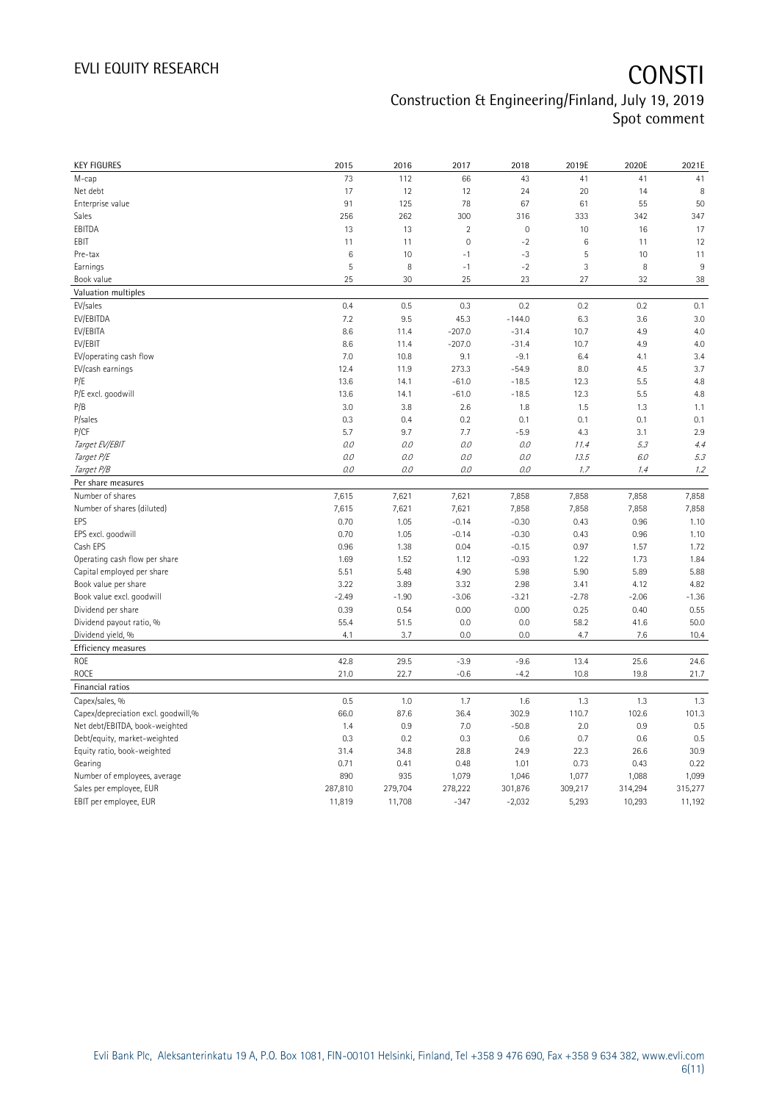| <b>KEY FIGURES</b>                  | 2015    | 2016    | 2017           | 2018        | 2019E   | 2020E   | 2021E   |
|-------------------------------------|---------|---------|----------------|-------------|---------|---------|---------|
| M-cap                               | 73      | 112     | 66             | 43          | 41      | 41      | 41      |
| Net debt                            | 17      | 12      | 12             | 24          | 20      | 14      | 8       |
| Enterprise value                    | 91      | 125     | 78             | 67          | 61      | 55      | 50      |
| Sales                               | 256     | 262     | 300            | 316         | 333     | 342     | 347     |
| EBITDA                              | 13      | 13      | $\overline{2}$ | $\mathbb O$ | 10      | 16      | 17      |
| EBIT                                | 11      | 11      | $\overline{0}$ | $-2$        | 6       | 11      | 12      |
| Pre-tax                             | 6       | 10      | $-1$           | $-3$        | 5       | 10      | 11      |
| Earnings                            | 5       | 8       | $-1$           | $-2$        | 3       | 8       | 9       |
| Book value                          | 25      | 30      | 25             | 23          | 27      | 32      | 38      |
| Valuation multiples                 |         |         |                |             |         |         |         |
| EV/sales                            | 0.4     | 0.5     | 0.3            | 0.2         | 0.2     | 0.2     | 0.1     |
| EV/EBITDA                           | 7.2     | 9.5     | 45.3           | $-144.0$    | 6.3     | 3.6     | 3.0     |
| EV/EBITA                            | 8.6     | 11.4    | $-207.0$       | $-31.4$     | 10.7    | 4.9     | 4.0     |
| EV/EBIT                             | 8.6     | 11.4    | $-207.0$       | $-31.4$     | 10.7    | 4.9     | 4.0     |
| EV/operating cash flow              | 7.0     | 10.8    | 9.1            | $-9.1$      | 6.4     | 4.1     | 3.4     |
| EV/cash earnings                    | 12.4    | 11.9    | 273.3          | $-54.9$     | 8.0     | 4.5     | 3.7     |
| P/E                                 | 13.6    | 14.1    | $-61.0$        | $-18.5$     | 12.3    | 5.5     | 4.8     |
| P/E excl. goodwill                  | 13.6    | 14.1    | $-61.0$        | $-18.5$     | 12.3    | 5.5     | 4.8     |
| P/B                                 | 3.0     | 3.8     | 2.6            | 1.8         | 1.5     | 1.3     | 1.1     |
| P/sales                             | 0.3     | 0.4     | 0.2            | 0.1         | 0.1     | 0.1     | 0.1     |
| P/CF                                | 5.7     | 9.7     | 7.7            | $-5.9$      | 4.3     | 3.1     | 2.9     |
| Target EV/EBIT                      | 0.0     | 0.0     | 0.0            | 0.0         | 11.4    | 5.3     | 4.4     |
| Target P/E                          | 0.0     | 0.0     | 0.0            | 0.0         | 13.5    | 6.0     | 5.3     |
| Target P/B                          | $0.0\,$ | 0.0     | 0.0            | 0.0         | 1.7     | 1.4     | 1.2     |
| Per share measures                  |         |         |                |             |         |         |         |
| Number of shares                    | 7,615   | 7,621   | 7,621          | 7,858       | 7,858   | 7,858   | 7,858   |
| Number of shares (diluted)          | 7,615   | 7,621   | 7,621          | 7,858       | 7,858   | 7,858   | 7,858   |
| EPS                                 | 0.70    | 1.05    | $-0.14$        | $-0.30$     | 0.43    | 0.96    | 1.10    |
| EPS excl. goodwill                  | 0.70    | 1.05    | $-0.14$        | $-0.30$     | 0.43    | 0.96    | 1.10    |
| Cash EPS                            | 0.96    | 1.38    | 0.04           | $-0.15$     | 0.97    | 1.57    | 1.72    |
| Operating cash flow per share       | 1.69    | 1.52    | 1.12           | $-0.93$     | 1.22    | 1.73    | 1.84    |
| Capital employed per share          | 5.51    | 5.48    | 4.90           | 5.98        | 5.90    | 5.89    | 5.88    |
| Book value per share                | 3.22    | 3.89    | 3.32           | 2.98        | 3.41    | 4.12    | 4.82    |
| Book value excl. goodwill           | $-2.49$ | $-1.90$ | $-3.06$        | $-3.21$     | $-2.78$ | $-2.06$ | $-1.36$ |
| Dividend per share                  | 0.39    | 0.54    | 0.00           | 0.00        | 0.25    | 0.40    | 0.55    |
| Dividend payout ratio, %            | 55.4    | 51.5    | 0.0            | 0.0         | 58.2    | 41.6    | 50.0    |
| Dividend yield, %                   | 4.1     | 3.7     | 0.0            | 0.0         | 4.7     | 7.6     | 10.4    |
| Efficiency measures                 |         |         |                |             |         |         |         |
| ROE                                 | 42.8    | 29.5    | $-3.9$         | $-9.6$      | 13.4    | 25.6    | 24.6    |
| ROCE                                | 21.0    | 22.7    | $-0.6$         | $-4.2$      | 10.8    | 19.8    | 21.7    |
| Financial ratios                    |         |         |                |             |         |         |         |
| Capex/sales, %                      | 0.5     | 1.0     | 1.7            | 1.6         | 1.3     | 1.3     | 1.3     |
| Capex/depreciation excl. goodwill,% | 66.0    | 87.6    | 36.4           | 302.9       | 110.7   | 102.6   | 101.3   |
| Net debt/EBITDA, book-weighted      | 1.4     | 0.9     | 7.0            | $-50.8$     | 2.0     | 0.9     | 0.5     |
| Debt/equity, market-weighted        | 0.3     | 0.2     | 0.3            | 0.6         | 0.7     | 0.6     | 0.5     |
| Equity ratio, book-weighted         | 31.4    | 34.8    | 28.8           | 24.9        | 22.3    | 26.6    | 30.9    |
| Gearing                             | 0.71    | 0.41    | 0.48           | 1.01        | 0.73    | 0.43    | 0.22    |
| Number of employees, average        | 890     | 935     | 1,079          | 1,046       | 1,077   | 1,088   | 1,099   |
| Sales per employee, EUR             | 287,810 | 279,704 | 278,222        | 301,876     | 309,217 | 314,294 | 315,277 |
|                                     |         |         |                |             |         |         |         |
| EBIT per employee, EUR              | 11,819  | 11,708  | $-347$         | $-2,032$    | 5,293   | 10,293  | 11,192  |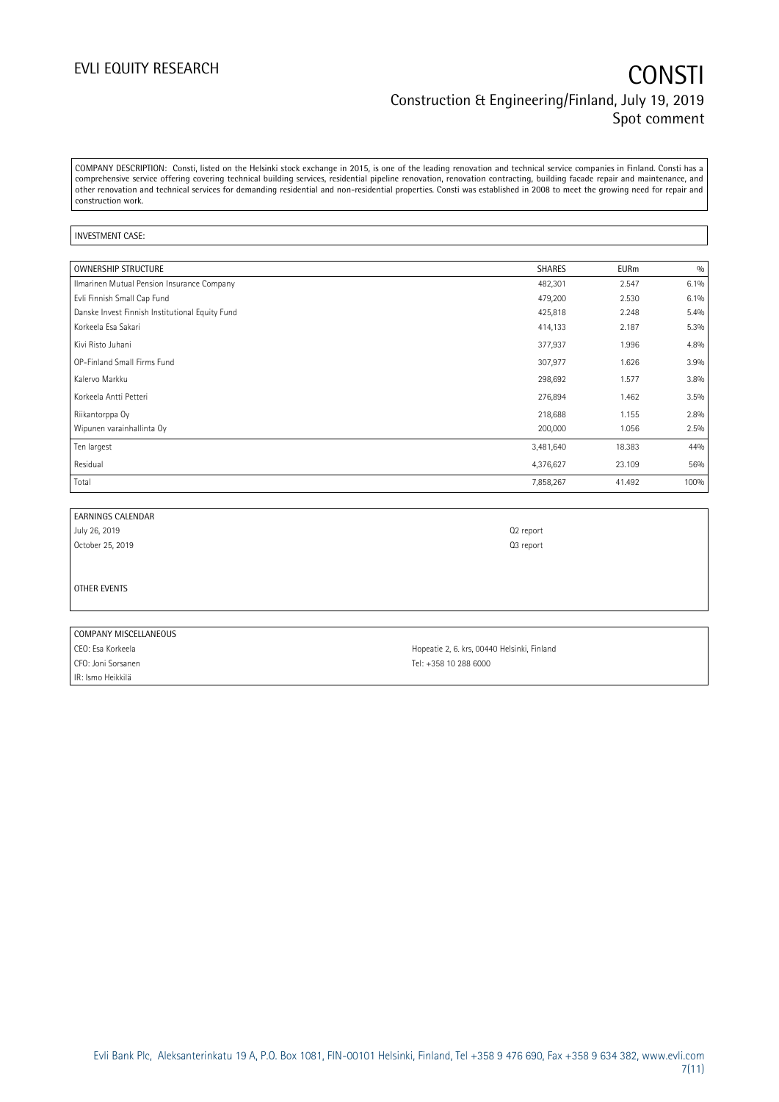COMPANY DESCRIPTION: Consti, listed on the Helsinki stock exchange in 2015, is one of the leading renovation and technical service companies in Finland. Consti has a comprehensive service offering covering technical building services, residential pipeline renovation, renovation contracting, building facade repair and maintenance, and other renovation and technical services for demanding residential and non-residential properties. Consti was established in 2008 to meet the growing need for repair and construction work.

### INVESTMENT CASE:

| <b>OWNERSHIP STRUCTURE</b>                      | SHARES    | <b>EURm</b> | 0/0  |
|-------------------------------------------------|-----------|-------------|------|
| Ilmarinen Mutual Pension Insurance Company      | 482,301   | 2.547       | 6.1% |
| Evli Finnish Small Cap Fund                     | 479,200   | 2.530       | 6.1% |
| Danske Invest Finnish Institutional Equity Fund | 425,818   | 2.248       | 5.4% |
| Korkeela Esa Sakari                             | 414,133   | 2.187       | 5.3% |
| Kivi Risto Juhani                               | 377,937   | 1.996       | 4.8% |
| OP-Finland Small Firms Fund                     | 307,977   | 1.626       | 3.9% |
| Kalervo Markku                                  | 298,692   | 1.577       | 3.8% |
| Korkeela Antti Petteri                          | 276,894   | 1.462       | 3.5% |
| Riikantorppa Oy                                 | 218,688   | 1.155       | 2.8% |
| Wipunen varainhallinta Oy                       | 200,000   | 1.056       | 2.5% |
| Ten largest                                     | 3,481,640 | 18.383      | 44%  |
| Residual                                        | 4,376,627 | 23.109      | 56%  |
| Total                                           | 7,858,267 | 41.492      | 100% |

| <b>EARNINGS CALENDAR</b> |                       |
|--------------------------|-----------------------|
| July 26, 2019            | Q <sub>2</sub> report |
| October 25, 2019         | Q <sub>3</sub> report |

OTHER EVENTS

| COMPANY MISCELLANEOUS |                                             |
|-----------------------|---------------------------------------------|
| CEO: Esa Korkeela     | Hopeatie 2, 6. krs, 00440 Helsinki, Finland |
| CFO: Joni Sorsanen    | Tel: +358 10 288 6000                       |
| IR: Ismo Heikkilä     |                                             |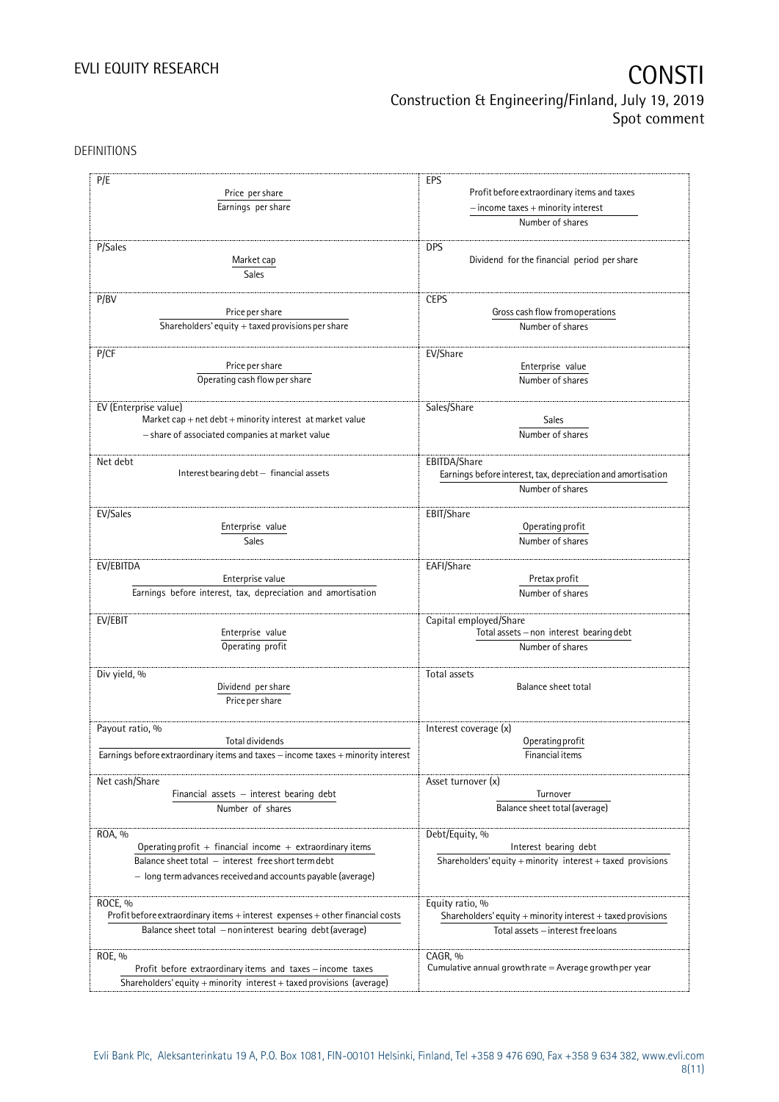DEFINITIONS

| P/E                                                                              | EPS                                                                                     |  |  |
|----------------------------------------------------------------------------------|-----------------------------------------------------------------------------------------|--|--|
| Price per share                                                                  |                                                                                         |  |  |
|                                                                                  | Profit before extraordinary items and taxes                                             |  |  |
| Earnings per share                                                               | $-$ income taxes $+$ minority interest                                                  |  |  |
|                                                                                  | Number of shares                                                                        |  |  |
| P/Sales                                                                          | <b>DPS</b>                                                                              |  |  |
|                                                                                  | Dividend for the financial period per share                                             |  |  |
| Market cap                                                                       |                                                                                         |  |  |
| Sales                                                                            |                                                                                         |  |  |
| P/BV                                                                             | <b>CEPS</b>                                                                             |  |  |
| Price per share                                                                  | Gross cash flow from operations                                                         |  |  |
| Shareholders' equity + taxed provisions per share                                | Number of shares                                                                        |  |  |
|                                                                                  |                                                                                         |  |  |
| P/CF                                                                             | EV/Share                                                                                |  |  |
| Price per share                                                                  | Enterprise value                                                                        |  |  |
| Operating cash flow per share                                                    | Number of shares                                                                        |  |  |
|                                                                                  |                                                                                         |  |  |
| EV (Enterprise value)                                                            | Sales/Share                                                                             |  |  |
| Market cap $+$ net debt $+$ minority interest at market value                    | Sales                                                                                   |  |  |
|                                                                                  |                                                                                         |  |  |
| - share of associated companies at market value                                  | Number of shares                                                                        |  |  |
| Net debt                                                                         | EBITDA/Share                                                                            |  |  |
| Interest bearing debt - financial assets                                         | Earnings before interest, tax, depreciation and amortisation                            |  |  |
|                                                                                  | Number of shares                                                                        |  |  |
|                                                                                  |                                                                                         |  |  |
| EV/Sales                                                                         | EBIT/Share                                                                              |  |  |
| Enterprise value                                                                 | Operating profit                                                                        |  |  |
| Sales                                                                            | Number of shares                                                                        |  |  |
|                                                                                  |                                                                                         |  |  |
| EV/EBITDA                                                                        | EAFI/Share                                                                              |  |  |
| Enterprise value                                                                 | Pretax profit                                                                           |  |  |
| Earnings before interest, tax, depreciation and amortisation                     | Number of shares                                                                        |  |  |
|                                                                                  |                                                                                         |  |  |
| EV/EBIT                                                                          | Capital employed/Share                                                                  |  |  |
| Enterprise value                                                                 | $\textsf{Total}\text{ assets} - \textsf{non}\text{ interest}\text{ bearing}\text{debt}$ |  |  |
| Operating profit                                                                 | Number of shares                                                                        |  |  |
|                                                                                  |                                                                                         |  |  |
| Div yield, %                                                                     | Total assets                                                                            |  |  |
| Dividend per share                                                               | Balance sheet total                                                                     |  |  |
| Price per share                                                                  |                                                                                         |  |  |
|                                                                                  |                                                                                         |  |  |
| Payout ratio, %                                                                  | Interest coverage (x)                                                                   |  |  |
| Total dividends                                                                  | Operating profit                                                                        |  |  |
| Earnings before extraordinary items and taxes - income taxes + minority interest | Financial items                                                                         |  |  |
|                                                                                  |                                                                                         |  |  |
| Net cash/Share                                                                   | Asset turnover (x)                                                                      |  |  |
| Financial assets $-$ interest bearing debt                                       | Turnover                                                                                |  |  |
| Number of shares                                                                 | Balance sheet total (average)                                                           |  |  |
|                                                                                  |                                                                                         |  |  |
| ROA, %                                                                           | Debt/Equity, %                                                                          |  |  |
| Operating profit + financial income + extraordinary items                        | Interest bearing debt                                                                   |  |  |
| Balance sheet total - interest free short term debt                              | Shareholders' equity + minority interest + taxed provisions                             |  |  |
| - long term advances received and accounts payable (average)                     |                                                                                         |  |  |
|                                                                                  |                                                                                         |  |  |
| ROCE, %                                                                          | Equity ratio, %                                                                         |  |  |
| Profit before extraordinary items + interest expenses + other financial costs    | Shareholders' equity $+$ minority interest $+$ taxed provisions                         |  |  |
| Balance sheet total - non interest bearing debt (average)                        | Total assets - interest free loans                                                      |  |  |
|                                                                                  |                                                                                         |  |  |
| ROE, %                                                                           | CAGR, %                                                                                 |  |  |
| Profit before extraordinary items and taxes - income taxes                       | Cumulative annual growth rate $=$ Average growth per year                               |  |  |
| Shareholders' equity + minority interest + taxed provisions (average)            |                                                                                         |  |  |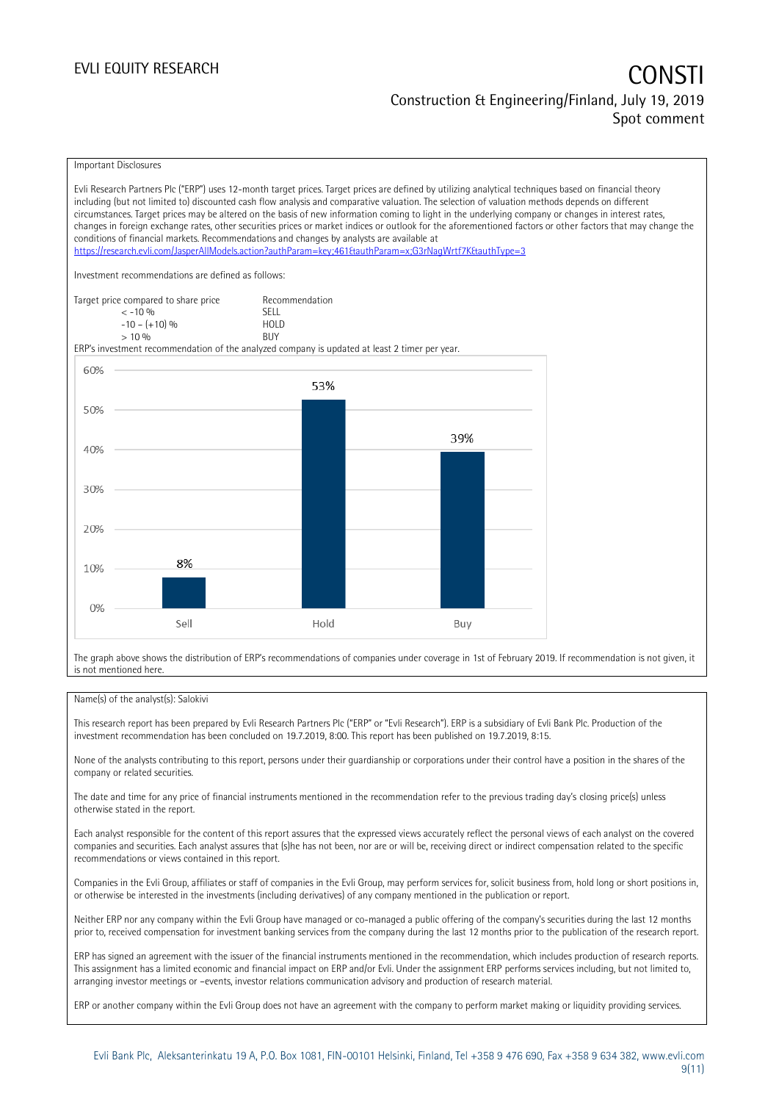### EVLI EQUITY RESEARCH **CONSTITUTE OF A CONSTITUTE OF A CONSTITUTE OF A CONSTITUTE OF A CONSTITUTE OF A CONSTITUTE** Construction & Engineering/Finland, July 19, 2019 Spot comment

Important Disclosures

Evli Research Partners Plc ("ERP") uses 12-month target prices. Target prices are defined by utilizing analytical techniques based on financial theory including (but not limited to) discounted cash flow analysis and comparative valuation. The selection of valuation methods depends on different circumstances. Target prices may be altered on the basis of new information coming to light in the underlying company or changes in interest rates, changes in foreign exchange rates, other securities prices or market indices or outlook for the aforementioned factors or other factors that may change the conditions of financial markets. Recommendations and changes by analysts are available at <https://research.evli.com/JasperAllModels.action?authParam=key;461&authParam=x;G3rNagWrtf7K&authType=3> Investment recommendations are defined as follows: Target price compared to share price Recommendation<br>  $\leq -10\%$  $\langle 5, 10, 10 \rangle$  SELL<br> $\langle -10, 10, 10 \rangle$  SELL  $-10 - (+10) \%$  HOL<br>  $> 10 \%$  RIJY  $> 10\%$ ERP's investment recommendation of the analyzed company is updated at least 2 timer per year. 60% 53% 50% 39% 40% 30% 20% 8% 10%  $0%$ Sell Hold Buy

The graph above shows the distribution of ERP's recommendations of companies under coverage in 1st of February 2019. If recommendation is not given, it is not mentioned here.

### Name(s) of the analyst(s): Salokivi

This research report has been prepared by Evli Research Partners Plc ("ERP" or "Evli Research"). ERP is a subsidiary of Evli Bank Plc. Production of the investment recommendation has been concluded on 19.7.2019, 8:00. This report has been published on 19.7.2019, 8:15.

None of the analysts contributing to this report, persons under their guardianship or corporations under their control have a position in the shares of the company or related securities.

The date and time for any price of financial instruments mentioned in the recommendation refer to the previous trading day's closing price(s) unless otherwise stated in the report.

Each analyst responsible for the content of this report assures that the expressed views accurately reflect the personal views of each analyst on the covered companies and securities. Each analyst assures that (s)he has not been, nor are or will be, receiving direct or indirect compensation related to the specific recommendations or views contained in this report.

Companies in the Evli Group, affiliates or staff of companies in the Evli Group, may perform services for, solicit business from, hold long or short positions in, or otherwise be interested in the investments (including derivatives) of any company mentioned in the publication or report.

Neither ERP nor any company within the Evli Group have managed or co-managed a public offering of the company's securities during the last 12 months prior to, received compensation for investment banking services from the company during the last 12 months prior to the publication of the research report.

ERP has signed an agreement with the issuer of the financial instruments mentioned in the recommendation, which includes production of research reports. This assignment has a limited economic and financial impact on ERP and/or Evli. Under the assignment ERP performs services including, but not limited to, arranging investor meetings or –events, investor relations communication advisory and production of research material.

ERP or another company within the Evli Group does not have an agreement with the company to perform market making or liquidity providing services.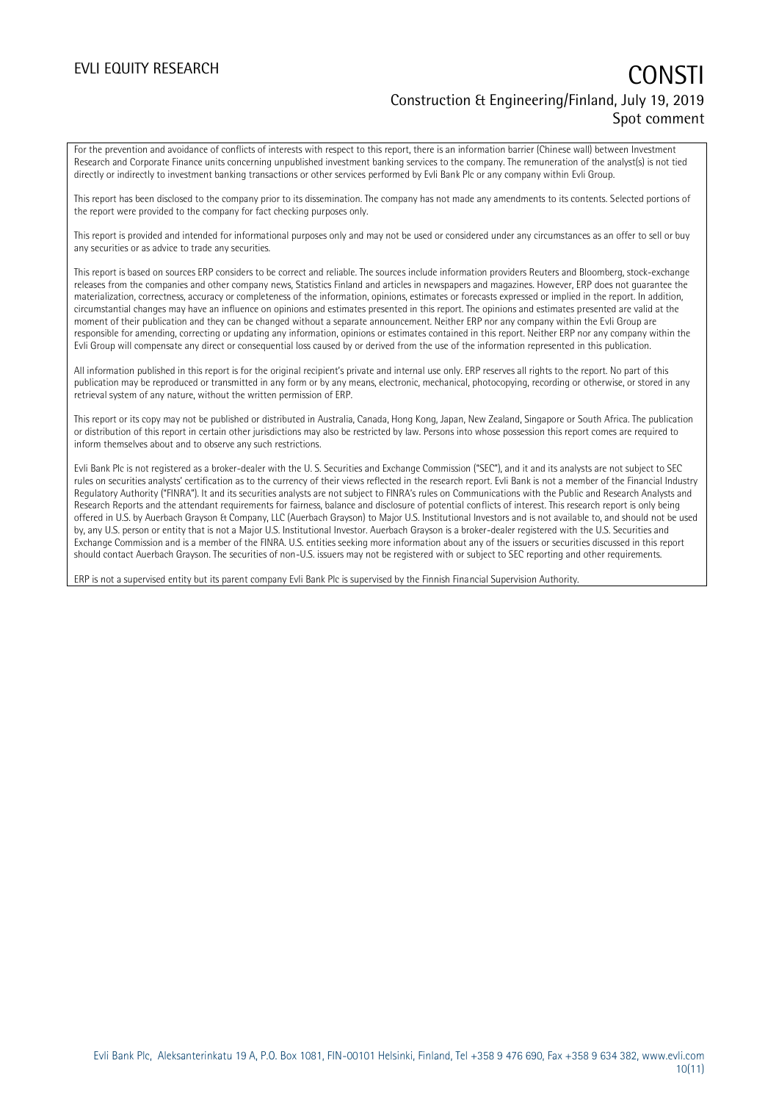### EVLI EQUITY RESEARCH **CONSTITUTE OF A CONSTITUTE OF A CONSTITUTE OF A CONSTITUTE OF A CONSTITUTE OF A CONSTITUTE** Construction & Engineering/Finland, July 19, 2019 Spot comment

For the prevention and avoidance of conflicts of interests with respect to this report, there is an information barrier (Chinese wall) between Investment Research and Corporate Finance units concerning unpublished investment banking services to the company. The remuneration of the analyst(s) is not tied directly or indirectly to investment banking transactions or other services performed by Evli Bank Plc or any company within Evli Group.

This report has been disclosed to the company prior to its dissemination. The company has not made any amendments to its contents. Selected portions of the report were provided to the company for fact checking purposes only.

This report is provided and intended for informational purposes only and may not be used or considered under any circumstances as an offer to sell or buy any securities or as advice to trade any securities.

This report is based on sources ERP considers to be correct and reliable. The sources include information providers Reuters and Bloomberg, stock-exchange releases from the companies and other company news, Statistics Finland and articles in newspapers and magazines. However, ERP does not guarantee the materialization, correctness, accuracy or completeness of the information, opinions, estimates or forecasts expressed or implied in the report. In addition, circumstantial changes may have an influence on opinions and estimates presented in this report. The opinions and estimates presented are valid at the moment of their publication and they can be changed without a separate announcement. Neither ERP nor any company within the Evli Group are responsible for amending, correcting or updating any information, opinions or estimates contained in this report. Neither ERP nor any company within the Evli Group will compensate any direct or consequential loss caused by or derived from the use of the information represented in this publication.

All information published in this report is for the original recipient's private and internal use only. ERP reserves all rights to the report. No part of this publication may be reproduced or transmitted in any form or by any means, electronic, mechanical, photocopying, recording or otherwise, or stored in any retrieval system of any nature, without the written permission of ERP.

This report or its copy may not be published or distributed in Australia, Canada, Hong Kong, Japan, New Zealand, Singapore or South Africa. The publication or distribution of this report in certain other jurisdictions may also be restricted by law. Persons into whose possession this report comes are required to inform themselves about and to observe any such restrictions.

Evli Bank Plc is not registered as a broker-dealer with the U. S. Securities and Exchange Commission ("SEC"), and it and its analysts are not subject to SEC rules on securities analysts' certification as to the currency of their views reflected in the research report. Evli Bank is not a member of the Financial Industry Regulatory Authority ("FINRA"). It and its securities analysts are not subject to FINRA's rules on Communications with the Public and Research Analysts and Research Reports and the attendant requirements for fairness, balance and disclosure of potential conflicts of interest. This research report is only being offered in U.S. by Auerbach Grayson & Company, LLC (Auerbach Grayson) to Major U.S. Institutional Investors and is not available to, and should not be used by, any U.S. person or entity that is not a Major U.S. Institutional Investor. Auerbach Grayson is a broker-dealer registered with the U.S. Securities and Exchange Commission and is a member of the FINRA. U.S. entities seeking more information about any of the issuers or securities discussed in this report should contact Auerbach Grayson. The securities of non-U.S. issuers may not be registered with or subject to SEC reporting and other requirements.

ERP is not a supervised entity but its parent company Evli Bank Plc is supervised by the Finnish Financial Supervision Authority.